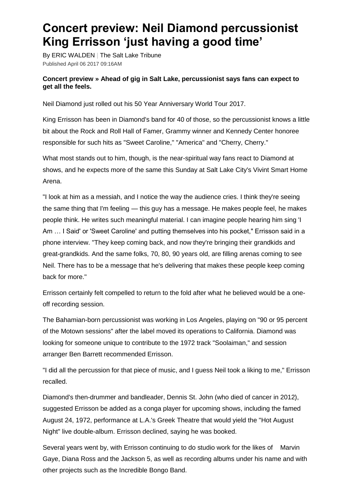## **Concert preview: Neil Diamond percussionist King Errisson 'just having a good time'**

By ERIC WALDEN | The Salt Lake Tribune Published April 06 2017 09:16AM

## **Concert preview » Ahead of gig in Salt Lake, percussionist says fans can expect to get all the feels.**

Neil Diamond just rolled out his 50 Year Anniversary World Tour 2017.

King Errisson has been in Diamond's band for 40 of those, so the percussionist knows a little bit about the Rock and Roll Hall of Famer, Grammy winner and Kennedy Center honoree responsible for such hits as "Sweet Caroline," "America" and "Cherry, Cherry."

What most stands out to him, though, is the near-spiritual way fans react to Diamond at shows, and he expects more of the same this Sunday at Salt Lake City's Vivint Smart Home Arena.

"I look at him as a messiah, and I notice the way the audience cries. I think they're seeing the same thing that I'm feeling — this guy has a message. He makes people feel, he makes people think. He writes such meaningful material. I can imagine people hearing him sing 'I Am … I Said' or 'Sweet Caroline' and putting themselves into his pocket," Errisson said in a phone interview. "They keep coming back, and now they're bringing their grandkids and great-grandkids. And the same folks, 70, 80, 90 years old, are filling arenas coming to see Neil. There has to be a message that he's delivering that makes these people keep coming back for more."

Errisson certainly felt compelled to return to the fold after what he believed would be a oneoff recording session.

The Bahamian-born percussionist was working in Los Angeles, playing on "90 or 95 percent of the Motown sessions" after the label moved its operations to California. Diamond was looking for someone unique to contribute to the 1972 track "Soolaiman," and session arranger Ben Barrett recommended Errisson.

"I did all the percussion for that piece of music, and I guess Neil took a liking to me," Errisson recalled.

Diamond's then-drummer and bandleader, Dennis St. John (who died of cancer in 2012), suggested Errisson be added as a conga player for upcoming shows, including the famed August 24, 1972, performance at L.A.'s Greek Theatre that would yield the "Hot August Night" live double-album. Errisson declined, saying he was booked.

Several years went by, with Errisson continuing to do studio work for the likes of Marvin Gaye, Diana Ross and the Jackson 5, as well as recording albums under his name and with other projects such as the Incredible Bongo Band.